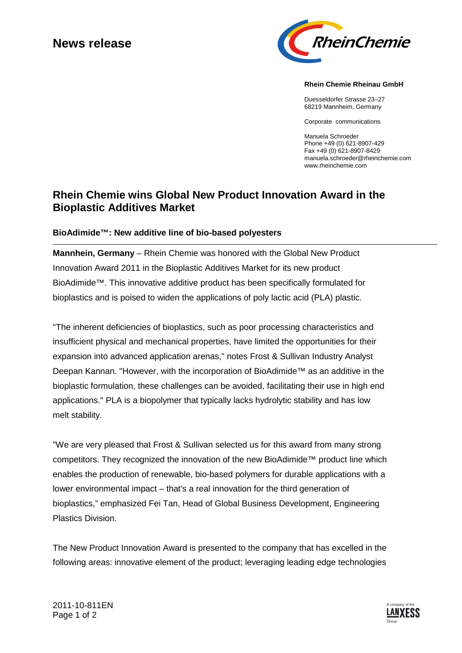# **News release**



#### **Rhein Chemie Rheinau GmbH**

Duesseldorfer Strasse 23–27 68219 Mannheim, Germany

Corporate communications

Manuela Schroeder Phone +49 (0) 621-8907-429 Fax +49 (0) 621-8907-8429 manuela.schroeder@rheinchemie.com www.rheinchemie.com

## **Rhein Chemie wins Global New Product Innovation Award in the Bioplastic Additives Market**

#### **BioAdimide™: New additive line of bio-based polyesters**

**Mannhein, Germany** – Rhein Chemie was honored with the Global New Product Innovation Award 2011 in the Bioplastic Additives Market for its new product BioAdimide™. This innovative additive product has been specifically formulated for bioplastics and is poised to widen the applications of poly lactic acid (PLA) plastic.

"The inherent deficiencies of bioplastics, such as poor processing characteristics and insufficient physical and mechanical properties, have limited the opportunities for their expansion into advanced application arenas," notes Frost & Sullivan Industry Analyst Deepan Kannan. "However, with the incorporation of BioAdimide™ as an additive in the bioplastic formulation, these challenges can be avoided, facilitating their use in high end applications." PLA is a biopolymer that typically lacks hydrolytic stability and has low melt stability.

"We are very pleased that Frost & Sullivan selected us for this award from many strong competitors. They recognized the innovation of the new BioAdimide™ product line which enables the production of renewable, bio-based polymers for durable applications with a lower environmental impact – that's a real innovation for the third generation of bioplastics," emphasized Fei Tan, Head of Global Business Development, Engineering Plastics Division.

The New Product Innovation Award is presented to the company that has excelled in the following areas: innovative element of the product; leveraging leading edge technologies